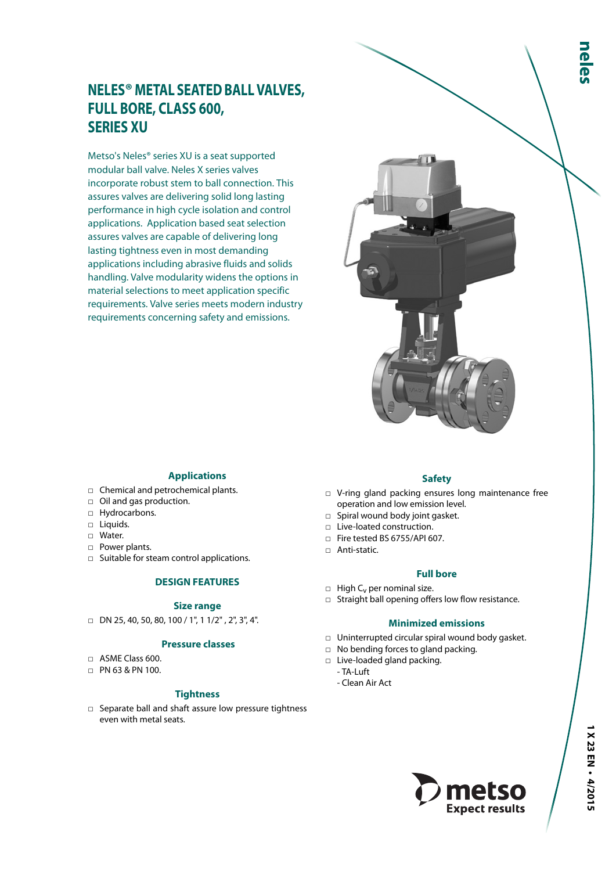# **NELES® METAL SEATED BALL VALVES, FULL BORE, CLASS 600, SERIES XU**

Metso's Neles® series XU is a seat supported modular ball valve. Neles X series valves incorporate robust stem to ball connection. This assures valves are delivering solid long lasting performance in high cycle isolation and control applications. Application based seat selection assures valves are capable of delivering long lasting tightness even in most demanding applications including abrasive fluids and solids handling. Valve modularity widens the options in material selections to meet application specific requirements. Valve series meets modern industry requirements concerning safety and emissions.



## **Applications**

- □ Chemical and petrochemical plants.
- □ Oil and gas production.
- □ Hydrocarbons.
- □ Liquids.
- □ Water.
- □ Power plants.
- □ Suitable for steam control applications.

#### **DESIGN FEATURES**

#### **Size range**

 $\Box$  DN 25, 40, 50, 80, 100 / 1", 1 1/2", 2", 3", 4".

#### **Pressure classes**

- □ ASME Class 600.
- □ PN 63 & PN 100.

#### **Tightness**

□ Separate ball and shaft assure low pressure tightness even with metal seats.

#### **Safety**

- □ V-ring gland packing ensures long maintenance free operation and low emission level.
- □ Spiral wound body joint gasket.
- □ Live-loated construction.
- □ Fire tested BS 6755/API 607.
- □ Anti-static.
	- **Full bore**
- $\Box$  High C<sub>v</sub> per nominal size.
- □ Straight ball opening offers low flow resistance.

#### **Minimized emissions**

- □ Uninterrupted circular spiral wound body gasket.
- □ No bending forces to gland packing.
- □ Live-loaded gland packing.
	- TA-Luft
	- Clean Air Act

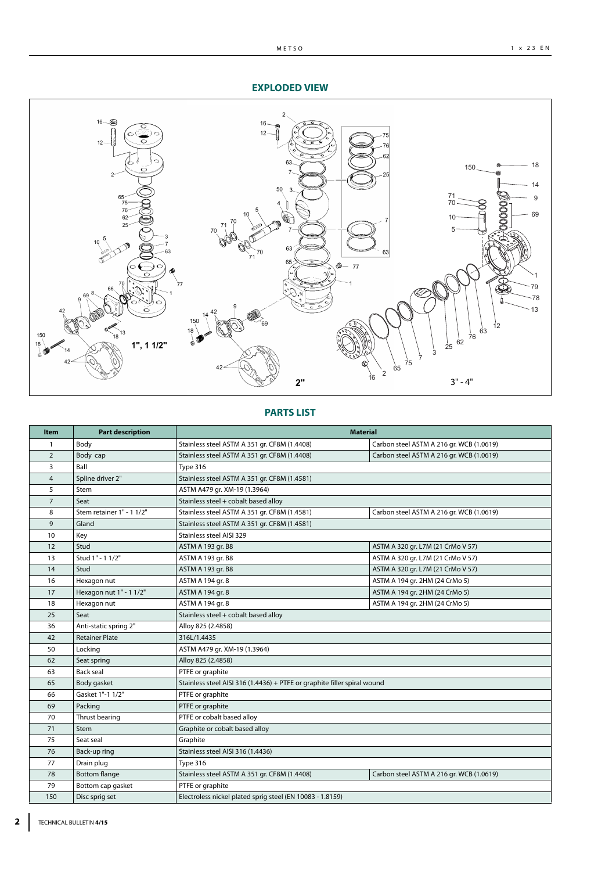#### **EXPLODED VIEW**



# **PARTS LIST**

| <b>Item</b>    | <b>Part description</b>   | <b>Material</b>                                                          |                                          |
|----------------|---------------------------|--------------------------------------------------------------------------|------------------------------------------|
| 1              | Body                      | Stainless steel ASTM A 351 gr. CF8M (1.4408)                             | Carbon steel ASTM A 216 gr. WCB (1.0619) |
| $\overline{2}$ | Body cap                  | Stainless steel ASTM A 351 gr. CF8M (1.4408)                             | Carbon steel ASTM A 216 gr. WCB (1.0619) |
| 3              | Ball                      | Type 316                                                                 |                                          |
| $\overline{4}$ | Spline driver 2"          | Stainless steel ASTM A 351 gr. CF8M (1.4581)                             |                                          |
| 5              | Stem                      | ASTM A479 gr. XM-19 (1.3964)                                             |                                          |
| $\overline{7}$ | Seat                      | Stainless steel + cobalt based alloy                                     |                                          |
| 8              | Stem retainer 1" - 1 1/2" | Stainless steel ASTM A 351 gr. CF8M (1.4581)                             | Carbon steel ASTM A 216 gr. WCB (1.0619) |
| 9              | Gland                     | Stainless steel ASTM A 351 gr. CF8M (1.4581)                             |                                          |
| 10             | Key                       | Stainless steel AISI 329                                                 |                                          |
| 12             | Stud                      | ASTM A 193 gr. B8                                                        | ASTM A 320 gr. L7M (21 CrMo V 57)        |
| 13             | Stud 1" - 1 1/2"          | ASTM A 193 gr. B8                                                        | ASTM A 320 gr. L7M (21 CrMo V 57)        |
| 14             | Stud                      | ASTM A 193 gr. B8                                                        | ASTM A 320 gr. L7M (21 CrMo V 57)        |
| 16             | Hexagon nut               | ASTM A 194 gr. 8                                                         | ASTM A 194 gr. 2HM (24 CrMo 5)           |
| 17             | Hexagon nut 1" - 1 1/2"   | ASTM A 194 gr. 8                                                         | ASTM A 194 gr. 2HM (24 CrMo 5)           |
| 18             | Hexagon nut               | ASTM A 194 gr. 8                                                         | ASTM A 194 gr. 2HM (24 CrMo 5)           |
| 25             | Seat                      | Stainless steel + cobalt based alloy                                     |                                          |
| 36             | Anti-static spring 2"     | Alloy 825 (2.4858)                                                       |                                          |
| 42             | <b>Retainer Plate</b>     | 316L/1.4435                                                              |                                          |
| 50             | Locking                   | ASTM A479 gr. XM-19 (1.3964)                                             |                                          |
| 62             | Seat spring               | Alloy 825 (2.4858)                                                       |                                          |
| 63             | <b>Back seal</b>          | PTFE or graphite                                                         |                                          |
| 65             | Body gasket               | Stainless steel AISI 316 (1.4436) + PTFE or graphite filler spiral wound |                                          |
| 66             | Gasket 1"-1 1/2"          | PTFE or graphite                                                         |                                          |
| 69             | Packing                   | PTFE or graphite                                                         |                                          |
| 70             | Thrust bearing            | PTFE or cobalt based alloy                                               |                                          |
| 71             | <b>Stem</b>               | Graphite or cobalt based alloy                                           |                                          |
| 75             | Seat seal                 | Graphite                                                                 |                                          |
| 76             | Back-up ring              | Stainless steel AISI 316 (1.4436)                                        |                                          |
| 77             | Drain plug                | Type 316                                                                 |                                          |
| 78             | <b>Bottom flange</b>      | Stainless steel ASTM A 351 gr. CF8M (1.4408)                             | Carbon steel ASTM A 216 gr. WCB (1.0619) |
| 79             | Bottom cap gasket         | PTFE or graphite                                                         |                                          |
| 150            | Disc sprig set            | Electroless nickel plated sprig steel (EN 10083 - 1.8159)                |                                          |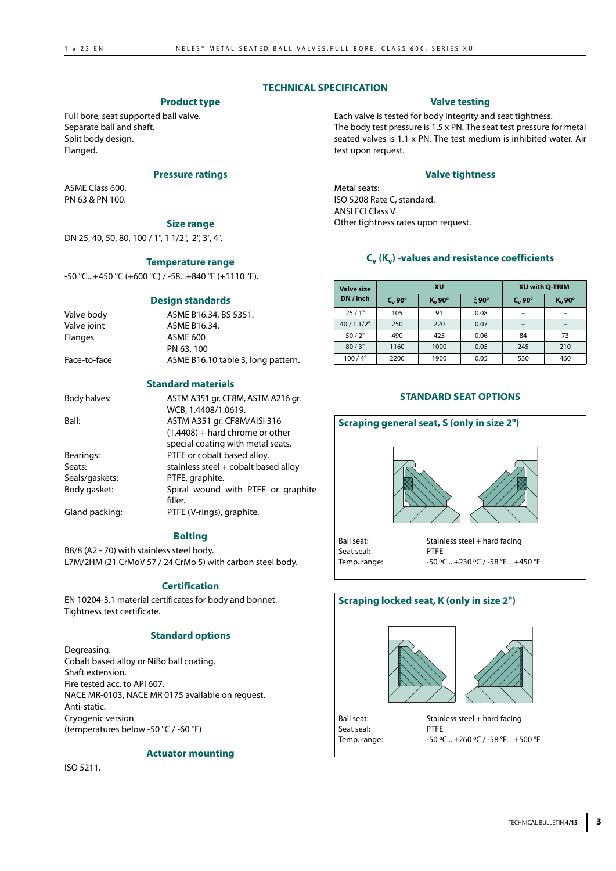# **TECHNICAL SPECIFICATION**

# **Product type**

Full bore, seat supported ball valve. Separate ball and shaft. Split body design. Flanged.

## **Pressure ratings**

ASME Class 600. PN 63 & PN 100.

# **Size range**

DN 25, 40, 50, 80, 100 / 1", 1 1/2", 2", 3", 4".

## **Temperature range**

-50 °C...+450 °C (+600 °C) / -58...+840 °F (+1110 °F).

#### **Design standards**

| Valve body   | ASME B16.34, BS 5351.              |
|--------------|------------------------------------|
| Valve joint  | ASME B16.34.                       |
| Flanges      | ASME 600                           |
|              | PN 63, 100                         |
| Face-to-face | ASME B16.10 table 3, long pattern. |
|              |                                    |

# **Standard materials**

| Body halves:   | ASTM A351 gr. CF8M, ASTM A216 gr.    |
|----------------|--------------------------------------|
|                | WCB, 1.4408/1.0619.                  |
| Ball:          | ASTM A351 gr. CF8M/AISI 316          |
|                | $(1.4408)$ + hard chrome or other    |
|                | special coating with metal seats.    |
| Bearings:      | PTFE or cobalt based alloy.          |
| Seats:         | stainless steel + cobalt based alloy |
| Seals/gaskets: | PTFE, graphite.                      |
| Body gasket:   | Spiral wound with PTFE or graphite   |
|                | filler.                              |
| Gland packing: | PTFE (V-rings), graphite.            |

# **Bolting**

B8/8 (A2 - 70) with stainless steel body. L7M/2HM (21 CrMoV 57 / 24 CrMo 5) with carbon steel body.

## **Certification**

EN 10204-3.1 material certificates for body and bonnet. Tightness test certificate.

## **Standard options**

Degreasing. Cobalt based alloy or NiBo ball coating. Shaft extension. Fire tested acc. to API 607. NACE MR-0103, NACE MR 0175 available on request. Anti-static. Cryogenic version (temperatures below -50 °C / -60 °F)

## **Actuator mounting**

ISO 5211.

# **Valve testing**

Each valve is tested for body integrity and seat tightness. The body test pressure is 1.5 x PN. The seat test pressure for metal seated valves is 1.1 x PN. The test medium is inhibited water. Air test upon request.

## **Valve tightness**

Metal seats: ISO 5208 Rate C, standard. ANSI FCI Class V Other tightness rates upon request.

# **Cv (Kv) -values and resistance coefficients**

| <b>Valve size</b> |           | <b>XU</b> | <b>XU with Q-TRIM</b> |                     |           |  |  |
|-------------------|-----------|-----------|-----------------------|---------------------|-----------|--|--|
| DN / inch         | $C_v$ 90° | $K_v$ 90° | $\xi$ 90°             | $C_v$ 90 $^{\circ}$ | $K_v$ 90° |  |  |
| 25/1"             | 105       | 91        | 0.08                  |                     |           |  |  |
| 40/11/2"          | 250       | 220       | 0.07                  |                     |           |  |  |
| 50/2"             | 490       | 425       | 0.06                  | 84                  | 73        |  |  |
| 80/3"             | 1160      | 1000      | 0.05                  | 245                 | 210       |  |  |
| 100/4"            | 2200      | 1900      | 0.05                  | 530                 | 460       |  |  |

# **STANDARD SEAT OPTIONS**



# **Scraping locked seat, K (only in size 2")**





Seat seal:<br>Temp. range:

Ball seat: Stainless steel + hard facing<br>
Seat seal: Seat PTFF -50 °C... +260 °C / -58 °F... +500 °F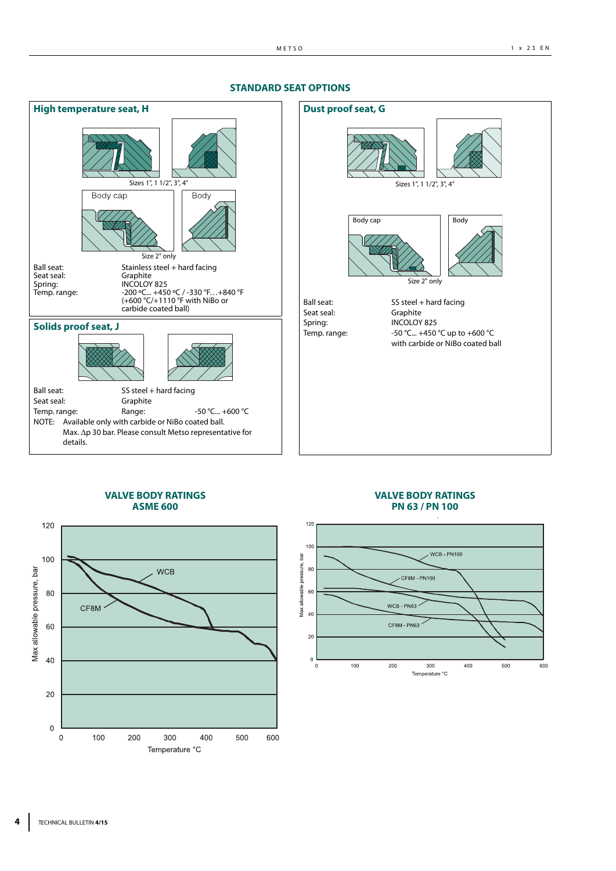

#### **STANDARD SEAT OPTIONS**

#### **VALVE BODY RATINGS ASME 600**



#### **VALVE BODY RATINGS PN 63 / PN 100**

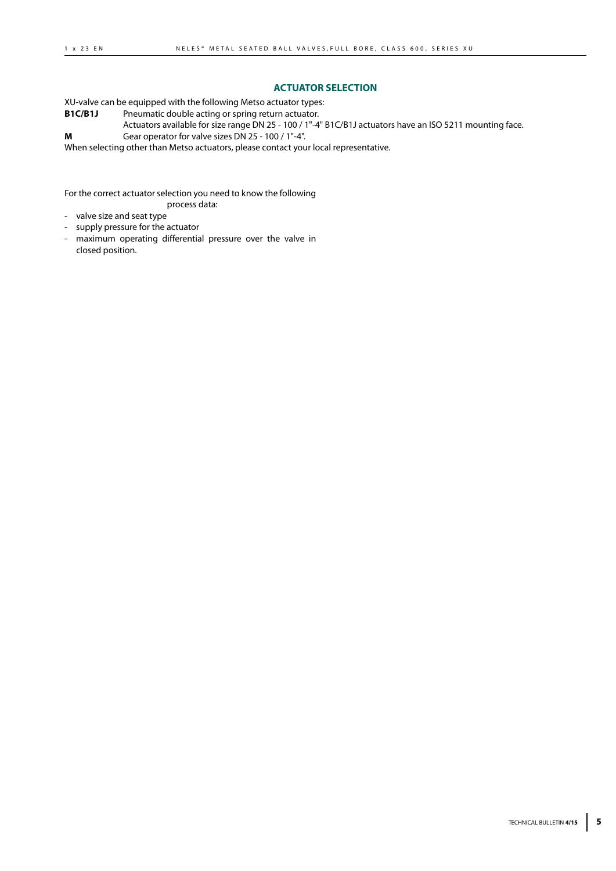#### **ACTUATOR SELECTION**

XU-valve can be equipped with the following Metso actuator types:

**B1C/B1J** Pneumatic double acting or spring return actuator.

Actuators available for size range DN 25 - 100 / 1"-4" B1C/B1J actuators have an ISO 5211 mounting face.

**M** Gear operator for valve sizes DN 25 - 100 / 1"-4".

When selecting other than Metso actuators, please contact your local representative.

For the correct actuator selection you need to know the following process data:

- valve size and seat type

- supply pressure for the actuator
- maximum operating differential pressure over the valve in closed position.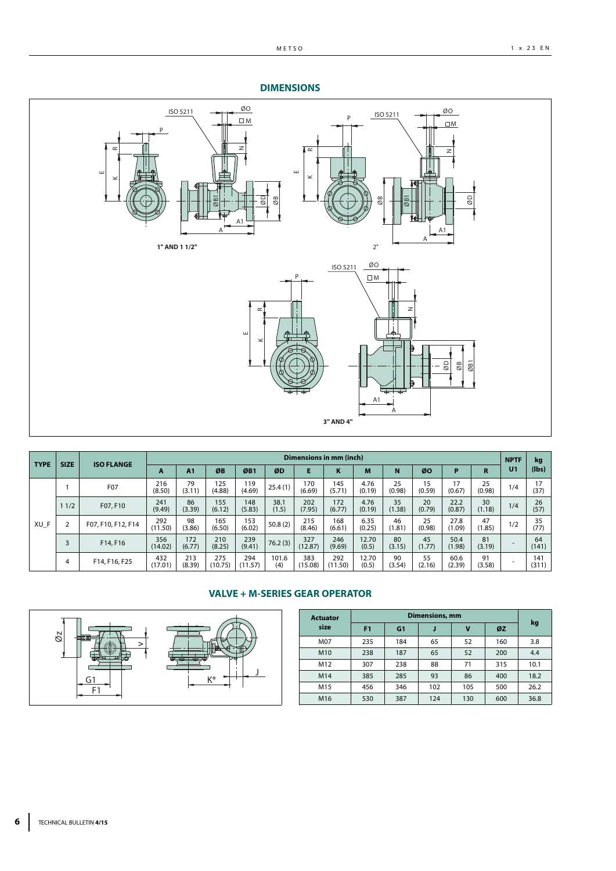### **DIMENSIONS**



| <b>TYPE</b> | <b>SIZE</b><br><b>ISO FLANGE</b> |                    | Dimensions in mm (inch) |                |                |                |               |                |                |                |              |              |                |              |                          | kg               |
|-------------|----------------------------------|--------------------|-------------------------|----------------|----------------|----------------|---------------|----------------|----------------|----------------|--------------|--------------|----------------|--------------|--------------------------|------------------|
|             |                                  |                    | A                       | A <sub>1</sub> | ØB             | ØB1            | ØD            | E              | K              | M              | N            | ØO           | Р              | R            | U1                       | $(\mathsf{lbs})$ |
|             |                                  | F07                | 216<br>(8.50)           | 79<br>(3.11)   | 125<br>(4.88)  | 119<br>(4.69)  | 25.4(1)       | 170<br>(6.69)  | 145<br>(5.71)  | 4.76<br>(0.19) | 25<br>(0.98) | 15<br>(0.59) | 17<br>(0.67)   | 25<br>(0.98) | 1/4                      | 17<br>(37)       |
|             | 11/2                             | F07, F10           | 241<br>(9.49)           | 86<br>(3.39)   | 155<br>(6.12)  | 148<br>(5.83)  | 38.1<br>(1.5) | 202<br>(7.95)  | 172<br>(6.77)  | 4.76<br>(0.19) | 35<br>(1.38) | 20<br>(0.79) | 22.2<br>(0.87) | 30<br>(1.18) | 1/4                      | 26<br>(57)       |
| XU F        |                                  | F07, F10, F12, F14 | 292<br>(11.50)          | 98<br>(3.86)   | 165<br>(6.50)  | 153<br>(6.02)  | 50.8(2)       | 215<br>(8.46)  | 168<br>(6.61)  | 6.35<br>(0.25) | 46<br>(1.81) | 25<br>(0.98) | 27.8<br>(1.09) | 47<br>(1.85) | 1/2                      | 35<br>(77)       |
|             | 3                                | F14, F16           | 356<br>(14.02)          | 172<br>(6.77)  | 210<br>(8.25)  | 239<br>(9.41)  | 76.2(3)       | 327<br>(12.87) | 246<br>(9.69)  | 12.70<br>(0.5) | 80<br>(3.15) | 45<br>(1.77) | 50.4<br>(1.98) | 81<br>(3.19) | $\overline{\phantom{a}}$ | 64<br>(141)      |
|             | 4                                | F14, F16, F25      | 432<br>(17.01)          | 213<br>(8.39)  | 275<br>(10.75) | 294<br>(11.57) | 101.6<br>(4)  | 383<br>(15.08) | 292<br>(11.50) | 12.70<br>(0.5) | 90<br>(3.54) | 55<br>(2.16) | 60.6<br>(2.39) | 91<br>(3.58) | ۰                        | 141<br>(311)     |

## **VALVE + M-SERIES GEAR OPERATOR**



| <b>Actuator</b> |                |     |     |     |     |      |
|-----------------|----------------|-----|-----|-----|-----|------|
| size            | F <sub>1</sub> | G1  | J   | v   | ØZ  | kg   |
| M07             | 235            | 184 | 65  | 52  | 160 | 3.8  |
| M10             | 238            | 187 | 65  | 52  | 200 | 4.4  |
| M12             | 307            | 238 | 88  | 71  | 315 | 10.1 |
| M14             | 385            | 285 | 93  | 86  | 400 | 18.2 |
| M15             | 456            | 346 | 102 | 105 | 500 | 26.2 |
| M <sub>16</sub> | 530            | 387 | 124 | 130 | 600 | 36.8 |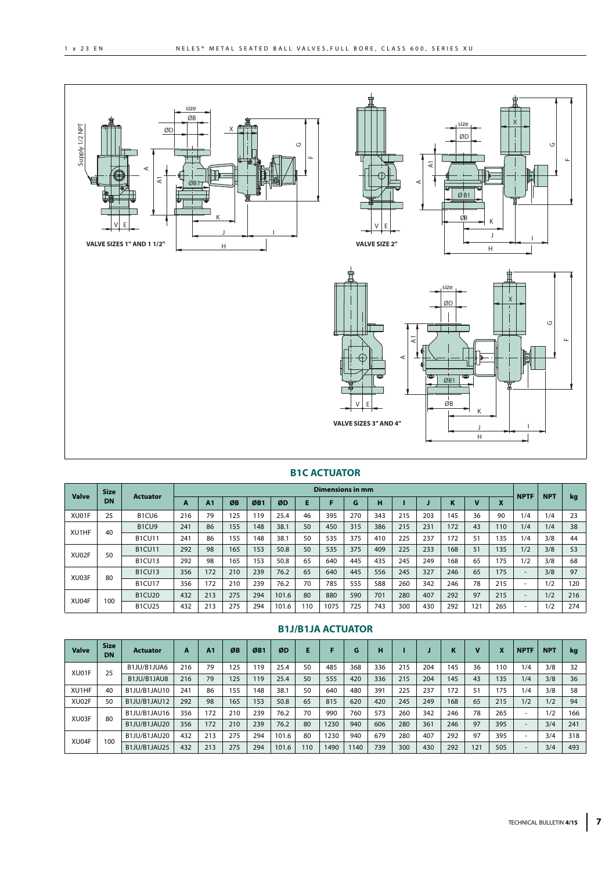





# **B1C ACTUATOR**

| <b>Valve</b> | <b>Size</b> | <b>Actuator</b>                |     |                |     |                 |       |     | Dimensions in mm |     |     |     |     |     |    |                               | <b>NPTF</b>              | <b>NPT</b> |     |
|--------------|-------------|--------------------------------|-----|----------------|-----|-----------------|-------|-----|------------------|-----|-----|-----|-----|-----|----|-------------------------------|--------------------------|------------|-----|
|              | DN          |                                | A   | A <sub>1</sub> | ØB  | ØB <sub>1</sub> | ØD    |     |                  | G   | н   |     |     | K   |    | $\overline{\phantom{a}}$<br>л |                          |            | kg  |
| XU01F        | 25          | B <sub>1</sub> CU <sub>6</sub> | 216 | 79             | 125 | 119             | 25.4  | 46  | 395              | 270 | 343 | 215 | 203 | 145 | 36 | 90                            | 1/4                      | 1/4        | 23  |
| XU1HF        | 40          | B <sub>1</sub> CU <sub>9</sub> | 241 | 86             | 155 | 148             | 38.1  | 50  | 450              | 315 | 386 | 215 | 231 | 172 | 43 | 110                           | 1/4                      | 1/4        | 38  |
|              |             | <b>B1CU11</b>                  | 241 | 86             | 155 | 148             | 38.1  | 50  | 535              | 375 | 410 | 225 | 237 | 172 | 51 | 135                           | 1/4                      | 3/8        | 44  |
| XU02F        | 50          | <b>B1CU11</b>                  | 292 | 98             | 165 | 153             | 50.8  | 50  | 535              | 375 | 409 | 225 | 233 | 168 | 51 | 135                           | 1/2                      | 3/8        | 53  |
|              |             | <b>B1CU13</b>                  | 292 | 98             | 165 | 153             | 50.8  | 65  | 640              | 445 | 435 | 245 | 249 | 168 | 65 | 175                           | 1/2                      | 3/8        | 68  |
| XU03F        | 80          | <b>B1CU13</b>                  | 356 | 172            | 210 | 239             | 76.2  | 65  | 640              | 445 | 556 | 245 | 327 | 246 | 65 | 175                           | $\overline{\phantom{a}}$ | 3/8        | 97  |
|              |             | <b>B1CU17</b>                  | 356 | 172            | 210 | 239             | 76.2  | 70  | 785              | 555 | 588 | 260 | 342 | 246 | 78 | 215                           | $\overline{\phantom{a}}$ | 1/2        | 120 |
| XU04F        | 100         | <b>B1CU20</b>                  | 432 | 213            | 275 | 294             | 101.6 | 80  | 880              | 590 | 701 | 280 | 407 | 292 | 97 | 215                           | $\overline{\phantom{a}}$ | 1/2        | 216 |
|              |             | <b>B1CU25</b>                  | 432 | 213            | 275 | 294             | 101.6 | 110 | 1075             | 725 | 743 | 300 | 430 | 292 | 21 | 265                           | $\overline{\phantom{a}}$ | 1/2        | 274 |

| <b>Valve</b> | <b>Size</b><br>DN | <b>Actuator</b> | A   | A <sub>1</sub> | ØB  | ØB1 | ØD    |     |      | G   | н   |     |     | ĸ   |     | X   | <b>NPTF</b>              | <b>NPT</b> | kg  |
|--------------|-------------------|-----------------|-----|----------------|-----|-----|-------|-----|------|-----|-----|-----|-----|-----|-----|-----|--------------------------|------------|-----|
| XU01F        | 25                | B1JU/B1JUA6     | 216 | 79             | 125 | 119 | 25.4  | 50  | 485  | 368 | 336 | 215 | 204 | 145 | 36  | 110 | 1/4                      | 3/8        | 32  |
|              |                   | B1JU/B1JAU8     | 216 | 79             | 125 | 119 | 25.4  | 50  | 555  | 420 | 336 | 215 | 204 | 145 | 43  | 135 | 1/4                      | 3/8        | 36  |
| XU1HF        | 40                | B1JU/B1JAU10    | 241 | 86             | 155 | 148 | 38.1  | 50  | 640  | 480 | 391 | 225 | 237 | 172 | 51  | 175 | 1/4                      | 3/8        | 58  |
| XU02F        | 50                | B1JU/B1JAU12    | 292 | 98             | 165 | 153 | 50.8  | 65  | 815  | 620 | 420 | 245 | 249 | 168 | 65  | 215 | 1/2                      | 1/2        | 94  |
| XU03F        | 80                | B1JU/B1JAU16    | 356 | 172            | 210 | 239 | 76.2  | 70  | 990  | 760 | 573 | 260 | 342 | 246 | 78  | 265 | $\overline{\phantom{a}}$ | 1/2        | 166 |
|              |                   | B1JU/B1JAU20    | 356 | 172            | 210 | 239 | 76.2  | 80  | 1230 | 940 | 606 | 280 | 361 | 246 | 97  | 395 | $\overline{\phantom{a}}$ | 3/4        | 241 |
| XU04F        | 100               | B1JU/B1JAU20    | 432 | 213            | 275 | 294 | 101.6 | 80  | 1230 | 940 | 679 | 280 | 407 | 292 | 97  | 395 | $\overline{\phantom{a}}$ | 3/4        | 318 |
|              |                   | B1JU/B1JAU25    | 432 | 213            | 275 | 294 | 101.6 | 110 | 490  | 140 | 739 | 300 | 430 | 292 | 121 | 505 | $\overline{\phantom{a}}$ | 3/4        | 493 |

# **B1J/B1JA ACTUATOR**